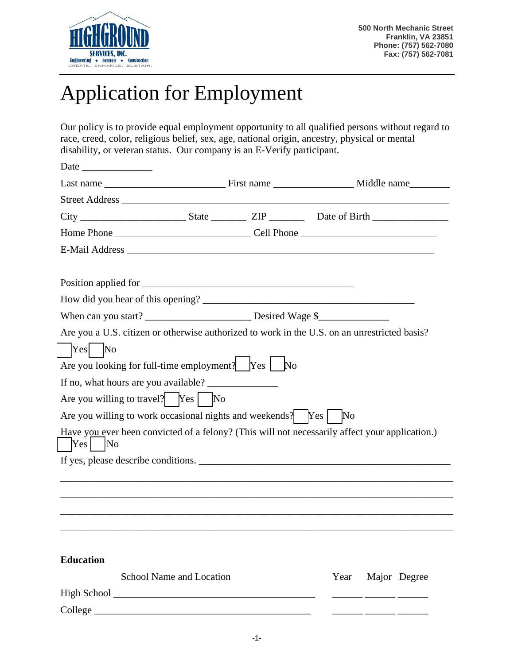

## Application for Employment

Our policy is to provide equal employment opportunity to all qualified persons without regard to race, creed, color, religious belief, sex, age, national origin, ancestry, physical or mental disability, or veteran status. Our company is an E-Verify participant.

|                                                                                                                 | Are you a U.S. citizen or otherwise authorized to work in the U.S. on an unrestricted basis?   |
|-----------------------------------------------------------------------------------------------------------------|------------------------------------------------------------------------------------------------|
|                                                                                                                 |                                                                                                |
| Are you looking for full-time employment? $\begin{bmatrix} \gamma & \gamma \\ \gamma & \gamma \end{bmatrix}$ No |                                                                                                |
|                                                                                                                 |                                                                                                |
|                                                                                                                 |                                                                                                |
|                                                                                                                 |                                                                                                |
|                                                                                                                 | Have you ever been convicted of a felony? (This will not necessarily affect your application.) |
|                                                                                                                 |                                                                                                |
|                                                                                                                 |                                                                                                |
|                                                                                                                 |                                                                                                |
|                                                                                                                 |                                                                                                |
|                                                                                                                 |                                                                                                |
|                                                                                                                 |                                                                                                |
|                                                                                                                 |                                                                                                |
| School Name and Location                                                                                        | Major Degree<br>Year                                                                           |
|                                                                                                                 |                                                                                                |
|                                                                                                                 | Street Address<br>Are you willing to work occasional nights and weekends? Yes   No             |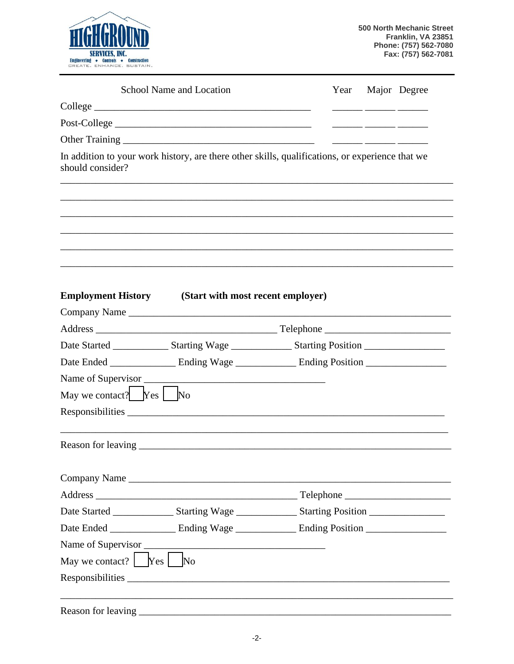

|                                                                                                 | School Name and Location                                                                                       |  | Major Degree |
|-------------------------------------------------------------------------------------------------|----------------------------------------------------------------------------------------------------------------|--|--------------|
|                                                                                                 |                                                                                                                |  |              |
|                                                                                                 |                                                                                                                |  |              |
|                                                                                                 |                                                                                                                |  |              |
| should consider?                                                                                | In addition to your work history, are there other skills, qualifications, or experience that we                |  |              |
|                                                                                                 |                                                                                                                |  |              |
|                                                                                                 |                                                                                                                |  |              |
| <b>Employment History</b>                                                                       | (Start with most recent employer)                                                                              |  |              |
|                                                                                                 | Company Name                                                                                                   |  |              |
|                                                                                                 |                                                                                                                |  |              |
|                                                                                                 |                                                                                                                |  |              |
|                                                                                                 | Date Started ________________ Starting Wage ________________ Starting Position _____________________           |  |              |
|                                                                                                 | Date Ended ______________________ Ending Wage __________________ Ending Position ___________________           |  |              |
|                                                                                                 |                                                                                                                |  |              |
|                                                                                                 |                                                                                                                |  |              |
| May we contact? $Yes$ No                                                                        |                                                                                                                |  |              |
|                                                                                                 |                                                                                                                |  |              |
|                                                                                                 | Company Name                                                                                                   |  |              |
|                                                                                                 |                                                                                                                |  |              |
|                                                                                                 | Date Started ___________________ Starting Wage ____________________ Starting Position ________________________ |  |              |
|                                                                                                 | Date Ended ______________________ Ending Wage ___________________ Ending Position __________________           |  |              |
|                                                                                                 |                                                                                                                |  |              |
| May we contact? $\begin{array}{ c c c c c } \hline \text{Yes} & \text{No} \\\hline \end{array}$ |                                                                                                                |  |              |

Reason for leaving \_\_\_\_\_\_